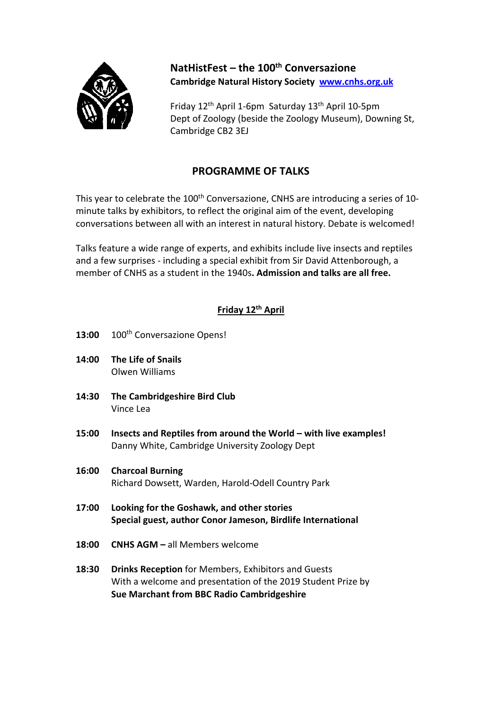

**NatHistFest – the 100th Conversazione Cambridge Natural History Society www.cnhs.org.uk**

Friday 12th April 1‐6pm Saturday 13th April 10‐5pm Dept of Zoology (beside the Zoology Museum), Downing St, Cambridge CB2 3EJ

## **PROGRAMME OF TALKS**

This year to celebrate the 100<sup>th</sup> Conversazione, CNHS are introducing a series of 10minute talks by exhibitors, to reflect the original aim of the event, developing conversations between all with an interest in natural history. Debate is welcomed!

Talks feature a wide range of experts, and exhibits include live insects and reptiles and a few surprises ‐ including a special exhibit from Sir David Attenborough, a member of CNHS as a student in the 1940s**. Admission and talks are all free.**

## **Friday 12th April**

- 13:00 100<sup>th</sup> Conversazione Opens!
- **14:00 The Life of Snails**  Olwen Williams
- **14:30 The Cambridgeshire Bird Club**  Vince Lea
- **15:00 Insects and Reptiles from around the World – with live examples!**  Danny White, Cambridge University Zoology Dept
- **16:00 Charcoal Burning**  Richard Dowsett, Warden, Harold‐Odell Country Park
- **17:00 Looking for the Goshawk, and other stories Special guest, author Conor Jameson, Birdlife International**
- **18:00 CNHS AGM –** all Members welcome
- **18:30 Drinks Reception** for Members, Exhibitors and Guests With a welcome and presentation of the 2019 Student Prize by **Sue Marchant from BBC Radio Cambridgeshire**